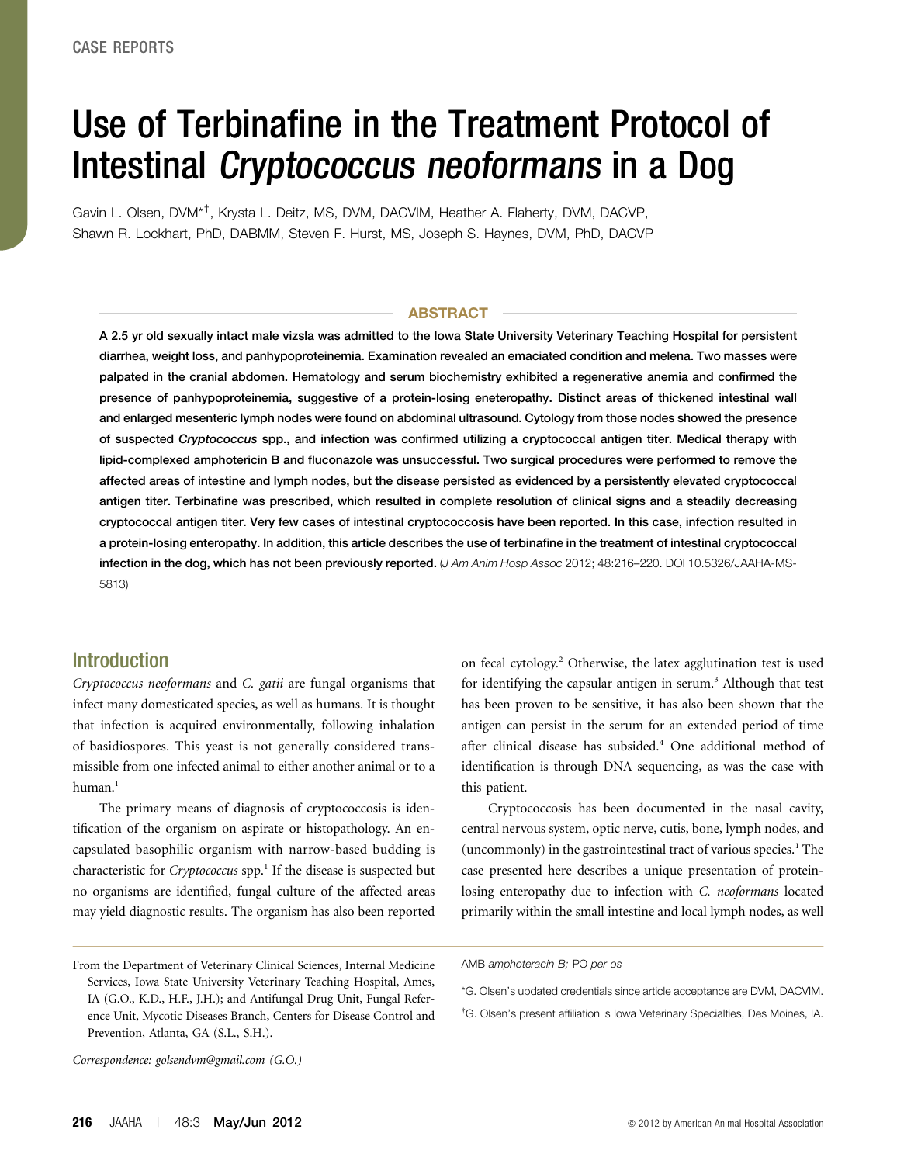# Use of Terbinafine in the Treatment Protocol of Intestinal Cryptococcus neoformans in a Dog

Gavin L. Olsen, DVM\*†, Krysta L. Deitz, MS, DVM, DACVIM, Heather A. Flaherty, DVM, DACVP, Shawn R. Lockhart, PhD, DABMM, Steven F. Hurst, MS, Joseph S. Haynes, DVM, PhD, DACVP

#### ABSTRACT

A 2.5 yr old sexually intact male vizsla was admitted to the Iowa State University Veterinary Teaching Hospital for persistent diarrhea, weight loss, and panhypoproteinemia. Examination revealed an emaciated condition and melena. Two masses were palpated in the cranial abdomen. Hematology and serum biochemistry exhibited a regenerative anemia and confirmed the presence of panhypoproteinemia, suggestive of a protein-losing eneteropathy. Distinct areas of thickened intestinal wall and enlarged mesenteric lymph nodes were found on abdominal ultrasound. Cytology from those nodes showed the presence of suspected Cryptococcus spp., and infection was confirmed utilizing a cryptococcal antigen titer. Medical therapy with lipid-complexed amphotericin B and fluconazole was unsuccessful. Two surgical procedures were performed to remove the affected areas of intestine and lymph nodes, but the disease persisted as evidenced by a persistently elevated cryptococcal antigen titer. Terbinafine was prescribed, which resulted in complete resolution of clinical signs and a steadily decreasing cryptococcal antigen titer. Very few cases of intestinal cryptococcosis have been reported. In this case, infection resulted in a protein-losing enteropathy. In addition, this article describes the use of terbinafine in the treatment of intestinal cryptococcal infection in the dog, which has not been previously reported. (J Am Anim Hosp Assoc 2012; 48:216-220. DOI 10.5326/JAAHA-MS-5813)

## **Introduction**

Cryptococcus neoformans and C. gatii are fungal organisms that infect many domesticated species, as well as humans. It is thought that infection is acquired environmentally, following inhalation of basidiospores. This yeast is not generally considered transmissible from one infected animal to either another animal or to a human.<sup>1</sup>

The primary means of diagnosis of cryptococcosis is identification of the organism on aspirate or histopathology. An encapsulated basophilic organism with narrow-based budding is characteristic for Cryptococcus spp.<sup>1</sup> If the disease is suspected but no organisms are identified, fungal culture of the affected areas may yield diagnostic results. The organism has also been reported on fecal cytology.2 Otherwise, the latex agglutination test is used for identifying the capsular antigen in serum.<sup>3</sup> Although that test has been proven to be sensitive, it has also been shown that the antigen can persist in the serum for an extended period of time after clinical disease has subsided.<sup>4</sup> One additional method of identification is through DNA sequencing, as was the case with this patient.

Cryptococcosis has been documented in the nasal cavity, central nervous system, optic nerve, cutis, bone, lymph nodes, and (uncommonly) in the gastrointestinal tract of various species.<sup>1</sup> The case presented here describes a unique presentation of proteinlosing enteropathy due to infection with C. neoformans located primarily within the small intestine and local lymph nodes, as well

† G. Olsen's present affiliation is Iowa Veterinary Specialties, Des Moines, IA.

Correspondence: [golsendvm@gmail.com](mailto:golsendvm@gmail.com) (G.O.)

From the Department of Veterinary Clinical Sciences, Internal Medicine Services, Iowa State University Veterinary Teaching Hospital, Ames, IA (G.O., K.D., H.F., J.H.); and Antifungal Drug Unit, Fungal Reference Unit, Mycotic Diseases Branch, Centers for Disease Control and Prevention, Atlanta, GA (S.L., S.H.).

AMB amphoteracin B; PO per os

<sup>\*</sup>G. Olsen's updated credentials since article acceptance are DVM, DACVIM.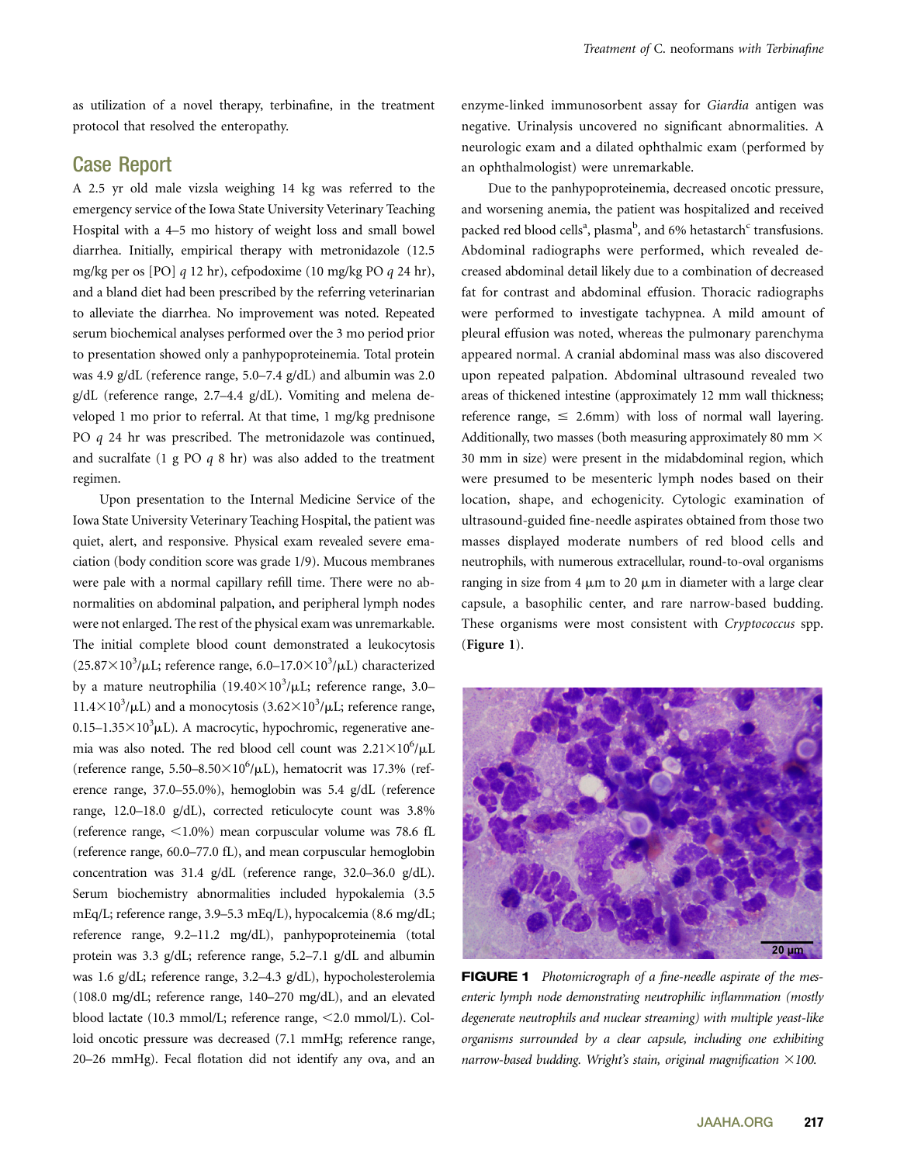as utilization of a novel therapy, terbinafine, in the treatment protocol that resolved the enteropathy.

## Case Report

A 2.5 yr old male vizsla weighing 14 kg was referred to the emergency service of the Iowa State University Veterinary Teaching Hospital with a 4–5 mo history of weight loss and small bowel diarrhea. Initially, empirical therapy with metronidazole (12.5 mg/kg per os [PO] q 12 hr), cefpodoxime (10 mg/kg PO q 24 hr), and a bland diet had been prescribed by the referring veterinarian to alleviate the diarrhea. No improvement was noted. Repeated serum biochemical analyses performed over the 3 mo period prior to presentation showed only a panhypoproteinemia. Total protein was 4.9 g/dL (reference range, 5.0–7.4 g/dL) and albumin was 2.0 g/dL (reference range, 2.7–4.4 g/dL). Vomiting and melena developed 1 mo prior to referral. At that time, 1 mg/kg prednisone PO q 24 hr was prescribed. The metronidazole was continued, and sucralfate  $(1 \nsubseteq PO q 8 \nln)$  was also added to the treatment regimen.

Upon presentation to the Internal Medicine Service of the Iowa State University Veterinary Teaching Hospital, the patient was quiet, alert, and responsive. Physical exam revealed severe emaciation (body condition score was grade 1/9). Mucous membranes were pale with a normal capillary refill time. There were no abnormalities on abdominal palpation, and peripheral lymph nodes were not enlarged. The rest of the physical exam was unremarkable. The initial complete blood count demonstrated a leukocytosis  $(25.87\times10^{3}/\mu L;$  reference range,  $6.0-17.0\times10^{3}/\mu L$ ) characterized by a mature neutrophilia  $(19.40\times10^3/\mu L;$  reference range, 3.0– 11.4×10<sup>3</sup>/ $\mu$ L) and a monocytosis (3.62×10<sup>3</sup>/ $\mu$ L; reference range,  $0.15-1.35\times10^3$ µL). A macrocytic, hypochromic, regenerative anemia was also noted. The red blood cell count was  $2.21 \times 10^6 / \mu L$ (reference range,  $5.50 - 8.50 \times 10^6/\mu L$ ), hematocrit was 17.3% (reference range, 37.0–55.0%), hemoglobin was 5.4 g/dL (reference range, 12.0–18.0 g/dL), corrected reticulocyte count was 3.8% (reference range,  $\langle 1.0\% \rangle$  mean corpuscular volume was 78.6 fL (reference range, 60.0–77.0 fL), and mean corpuscular hemoglobin concentration was 31.4 g/dL (reference range, 32.0–36.0 g/dL). Serum biochemistry abnormalities included hypokalemia (3.5 mEq/L; reference range, 3.9–5.3 mEq/L), hypocalcemia (8.6 mg/dL; reference range, 9.2–11.2 mg/dL), panhypoproteinemia (total protein was 3.3 g/dL; reference range, 5.2–7.1 g/dL and albumin was 1.6 g/dL; reference range, 3.2–4.3 g/dL), hypocholesterolemia (108.0 mg/dL; reference range, 140–270 mg/dL), and an elevated blood lactate (10.3 mmol/L; reference range, <2.0 mmol/L). Colloid oncotic pressure was decreased (7.1 mmHg; reference range, 20–26 mmHg). Fecal flotation did not identify any ova, and an

enzyme-linked immunosorbent assay for Giardia antigen was negative. Urinalysis uncovered no significant abnormalities. A neurologic exam and a dilated ophthalmic exam (performed by an ophthalmologist) were unremarkable.

Due to the panhypoproteinemia, decreased oncotic pressure, and worsening anemia, the patient was hospitalized and received packed red blood cells<sup>a</sup>, plasma<sup>b</sup>, and 6% hetastarch<sup>c</sup> transfusions. Abdominal radiographs were performed, which revealed decreased abdominal detail likely due to a combination of decreased fat for contrast and abdominal effusion. Thoracic radiographs were performed to investigate tachypnea. A mild amount of pleural effusion was noted, whereas the pulmonary parenchyma appeared normal. A cranial abdominal mass was also discovered upon repeated palpation. Abdominal ultrasound revealed two areas of thickened intestine (approximately 12 mm wall thickness; reference range,  $\leq$  2.6mm) with loss of normal wall layering. Additionally, two masses (both measuring approximately 80 mm  $\times$ 30 mm in size) were present in the midabdominal region, which were presumed to be mesenteric lymph nodes based on their location, shape, and echogenicity. Cytologic examination of ultrasound-guided fine-needle aspirates obtained from those two masses displayed moderate numbers of red blood cells and neutrophils, with numerous extracellular, round-to-oval organisms ranging in size from 4  $\mu$ m to 20  $\mu$ m in diameter with a large clear capsule, a basophilic center, and rare narrow-based budding. These organisms were most consistent with Cryptococcus spp. (Figure 1).



FIGURE 1 Photomicrograph of a fine-needle aspirate of the mesenteric lymph node demonstrating neutrophilic inflammation (mostly degenerate neutrophils and nuclear streaming) with multiple yeast-like organisms surrounded by a clear capsule, including one exhibiting narrow-based budding. Wright's stain, original magnification  $\times$ 100.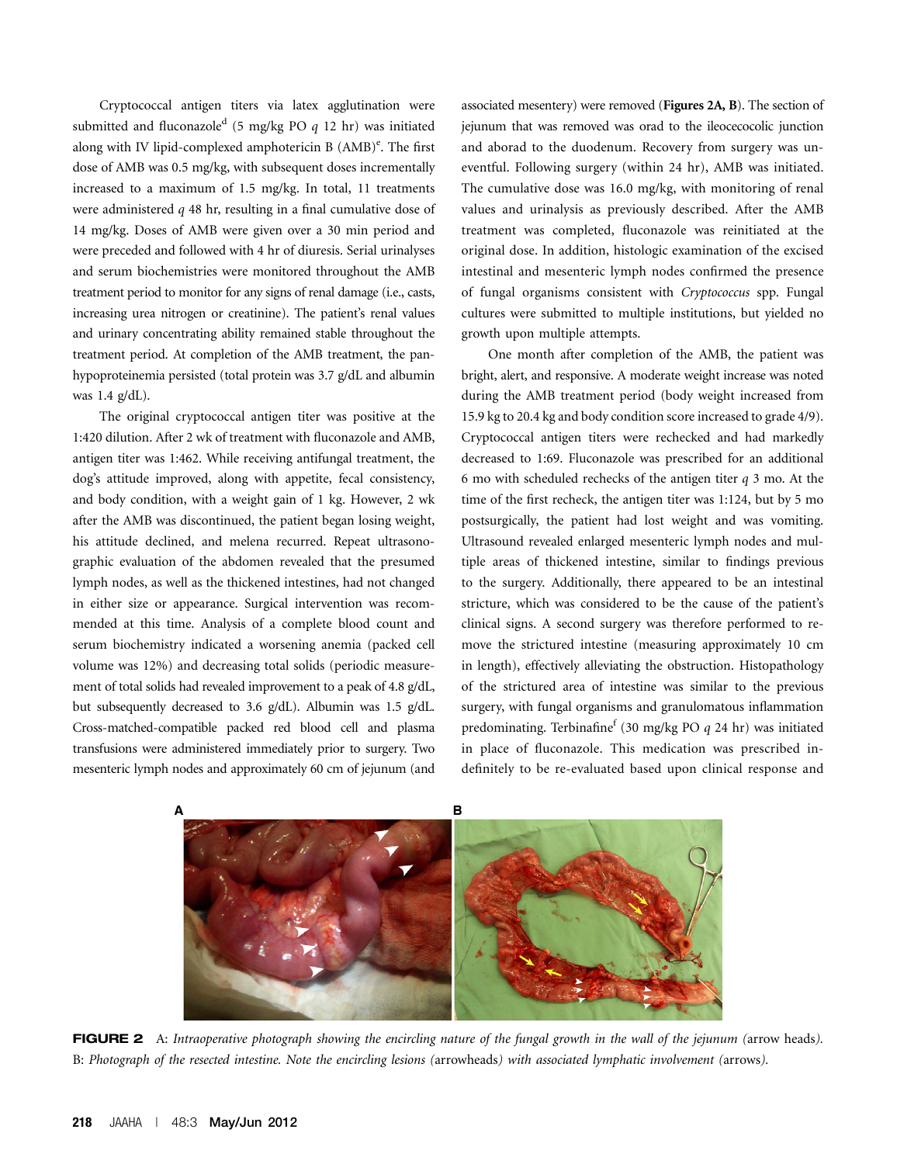Cryptococcal antigen titers via latex agglutination were submitted and fluconazole<sup>d</sup> (5 mg/kg PO  $q$  12 hr) was initiated along with IV lipid-complexed amphotericin B (AMB)<sup>e</sup>. The first dose of AMB was 0.5 mg/kg, with subsequent doses incrementally increased to a maximum of 1.5 mg/kg. In total, 11 treatments were administered q 48 hr, resulting in a final cumulative dose of 14 mg/kg. Doses of AMB were given over a 30 min period and were preceded and followed with 4 hr of diuresis. Serial urinalyses and serum biochemistries were monitored throughout the AMB treatment period to monitor for any signs of renal damage (i.e., casts, increasing urea nitrogen or creatinine). The patient's renal values and urinary concentrating ability remained stable throughout the treatment period. At completion of the AMB treatment, the panhypoproteinemia persisted (total protein was 3.7 g/dL and albumin was 1.4 g/dL).

The original cryptococcal antigen titer was positive at the 1:420 dilution. After 2 wk of treatment with fluconazole and AMB, antigen titer was 1:462. While receiving antifungal treatment, the dog's attitude improved, along with appetite, fecal consistency, and body condition, with a weight gain of 1 kg. However, 2 wk after the AMB was discontinued, the patient began losing weight, his attitude declined, and melena recurred. Repeat ultrasonographic evaluation of the abdomen revealed that the presumed lymph nodes, as well as the thickened intestines, had not changed in either size or appearance. Surgical intervention was recommended at this time. Analysis of a complete blood count and serum biochemistry indicated a worsening anemia (packed cell volume was 12%) and decreasing total solids (periodic measurement of total solids had revealed improvement to a peak of 4.8 g/dL, but subsequently decreased to 3.6 g/dL). Albumin was 1.5 g/dL. Cross-matched-compatible packed red blood cell and plasma transfusions were administered immediately prior to surgery. Two mesenteric lymph nodes and approximately 60 cm of jejunum (and

associated mesentery) were removed (Figures 2A, B). The section of jejunum that was removed was orad to the ileocecocolic junction and aborad to the duodenum. Recovery from surgery was uneventful. Following surgery (within 24 hr), AMB was initiated. The cumulative dose was 16.0 mg/kg, with monitoring of renal values and urinalysis as previously described. After the AMB treatment was completed, fluconazole was reinitiated at the original dose. In addition, histologic examination of the excised intestinal and mesenteric lymph nodes confirmed the presence of fungal organisms consistent with Cryptococcus spp. Fungal cultures were submitted to multiple institutions, but yielded no growth upon multiple attempts.

One month after completion of the AMB, the patient was bright, alert, and responsive. A moderate weight increase was noted during the AMB treatment period (body weight increased from 15.9 kg to 20.4 kg and body condition score increased to grade 4/9). Cryptococcal antigen titers were rechecked and had markedly decreased to 1:69. Fluconazole was prescribed for an additional 6 mo with scheduled rechecks of the antigen titer  $q$  3 mo. At the time of the first recheck, the antigen titer was 1:124, but by 5 mo postsurgically, the patient had lost weight and was vomiting. Ultrasound revealed enlarged mesenteric lymph nodes and multiple areas of thickened intestine, similar to findings previous to the surgery. Additionally, there appeared to be an intestinal stricture, which was considered to be the cause of the patient's clinical signs. A second surgery was therefore performed to remove the strictured intestine (measuring approximately 10 cm in length), effectively alleviating the obstruction. Histopathology of the strictured area of intestine was similar to the previous surgery, with fungal organisms and granulomatous inflammation predominating. Terbinafine<sup>f</sup> (30 mg/kg PO  $q$  24 hr) was initiated in place of fluconazole. This medication was prescribed indefinitely to be re-evaluated based upon clinical response and



FIGURE 2 A: Intraoperative photograph showing the encircling nature of the fungal growth in the wall of the jejunum (arrow heads). B: Photograph of the resected intestine. Note the encircling lesions (arrowheads) with associated lymphatic involvement (arrows).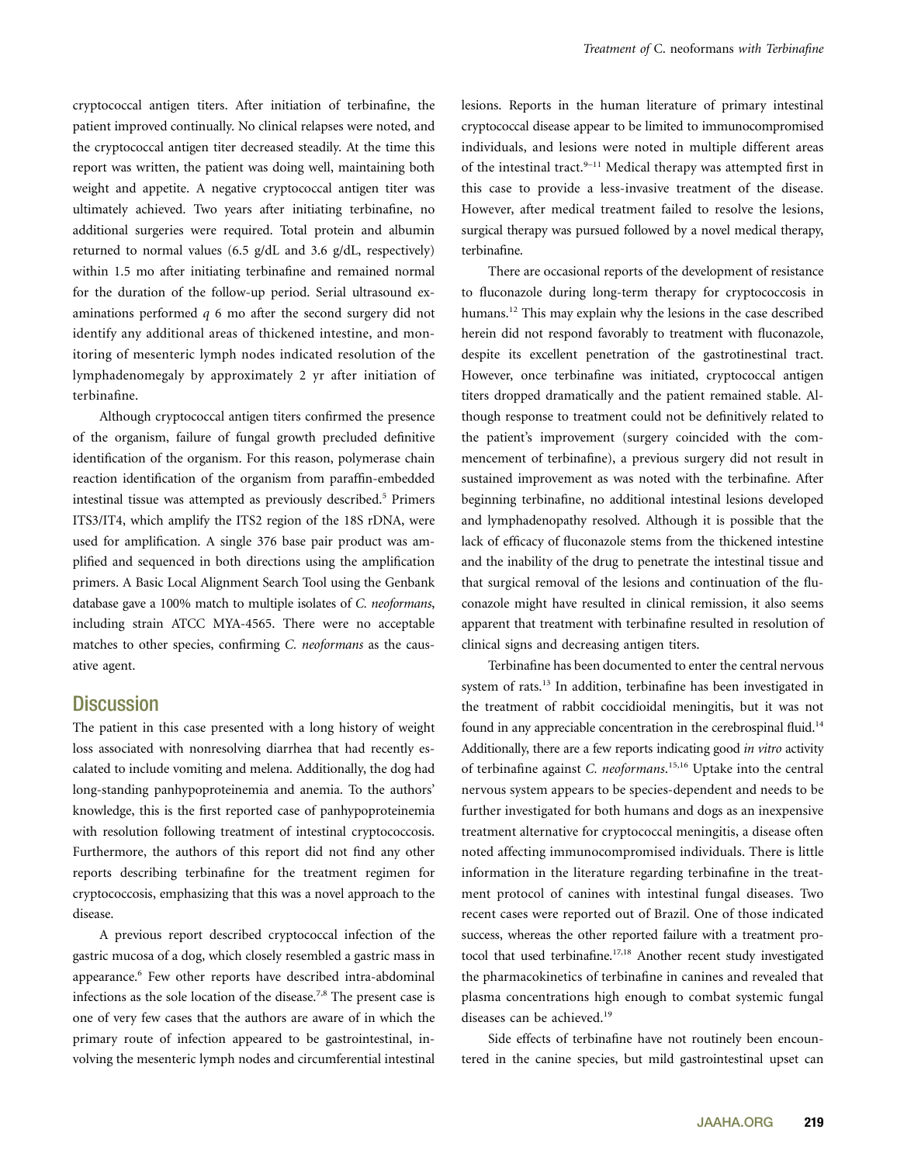cryptococcal antigen titers. After initiation of terbinafine, the patient improved continually. No clinical relapses were noted, and the cryptococcal antigen titer decreased steadily. At the time this report was written, the patient was doing well, maintaining both weight and appetite. A negative cryptococcal antigen titer was ultimately achieved. Two years after initiating terbinafine, no additional surgeries were required. Total protein and albumin returned to normal values (6.5 g/dL and 3.6 g/dL, respectively) within 1.5 mo after initiating terbinafine and remained normal for the duration of the follow-up period. Serial ultrasound examinations performed q 6 mo after the second surgery did not identify any additional areas of thickened intestine, and monitoring of mesenteric lymph nodes indicated resolution of the lymphadenomegaly by approximately 2 yr after initiation of terbinafine.

Although cryptococcal antigen titers confirmed the presence of the organism, failure of fungal growth precluded definitive identification of the organism. For this reason, polymerase chain reaction identification of the organism from paraffin-embedded intestinal tissue was attempted as previously described.<sup>5</sup> Primers ITS3/IT4, which amplify the ITS2 region of the 18S rDNA, were used for amplification. A single 376 base pair product was amplified and sequenced in both directions using the amplification primers. A Basic Local Alignment Search Tool using the Genbank database gave a 100% match to multiple isolates of C. neoformans, including strain ATCC MYA-4565. There were no acceptable matches to other species, confirming C. neoformans as the causative agent.

## **Discussion**

The patient in this case presented with a long history of weight loss associated with nonresolving diarrhea that had recently escalated to include vomiting and melena. Additionally, the dog had long-standing panhypoproteinemia and anemia. To the authors' knowledge, this is the first reported case of panhypoproteinemia with resolution following treatment of intestinal cryptococcosis. Furthermore, the authors of this report did not find any other reports describing terbinafine for the treatment regimen for cryptococcosis, emphasizing that this was a novel approach to the disease.

A previous report described cryptococcal infection of the gastric mucosa of a dog, which closely resembled a gastric mass in appearance.<sup>6</sup> Few other reports have described intra-abdominal infections as the sole location of the disease.7,8 The present case is one of very few cases that the authors are aware of in which the primary route of infection appeared to be gastrointestinal, involving the mesenteric lymph nodes and circumferential intestinal

lesions. Reports in the human literature of primary intestinal cryptococcal disease appear to be limited to immunocompromised individuals, and lesions were noted in multiple different areas of the intestinal tract. $9-11$  Medical therapy was attempted first in this case to provide a less-invasive treatment of the disease. However, after medical treatment failed to resolve the lesions, surgical therapy was pursued followed by a novel medical therapy, terbinafine.

There are occasional reports of the development of resistance to fluconazole during long-term therapy for cryptococcosis in humans.<sup>12</sup> This may explain why the lesions in the case described herein did not respond favorably to treatment with fluconazole, despite its excellent penetration of the gastrotinestinal tract. However, once terbinafine was initiated, cryptococcal antigen titers dropped dramatically and the patient remained stable. Although response to treatment could not be definitively related to the patient's improvement (surgery coincided with the commencement of terbinafine), a previous surgery did not result in sustained improvement as was noted with the terbinafine. After beginning terbinafine, no additional intestinal lesions developed and lymphadenopathy resolved. Although it is possible that the lack of efficacy of fluconazole stems from the thickened intestine and the inability of the drug to penetrate the intestinal tissue and that surgical removal of the lesions and continuation of the fluconazole might have resulted in clinical remission, it also seems apparent that treatment with terbinafine resulted in resolution of clinical signs and decreasing antigen titers.

Terbinafine has been documented to enter the central nervous system of rats.<sup>13</sup> In addition, terbinafine has been investigated in the treatment of rabbit coccidioidal meningitis, but it was not found in any appreciable concentration in the cerebrospinal fluid.<sup>14</sup> Additionally, there are a few reports indicating good in vitro activity of terbinafine against C. neoformans.<sup>15,16</sup> Uptake into the central nervous system appears to be species-dependent and needs to be further investigated for both humans and dogs as an inexpensive treatment alternative for cryptococcal meningitis, a disease often noted affecting immunocompromised individuals. There is little information in the literature regarding terbinafine in the treatment protocol of canines with intestinal fungal diseases. Two recent cases were reported out of Brazil. One of those indicated success, whereas the other reported failure with a treatment protocol that used terbinafine.<sup>17,18</sup> Another recent study investigated the pharmacokinetics of terbinafine in canines and revealed that plasma concentrations high enough to combat systemic fungal diseases can be achieved.<sup>19</sup>

Side effects of terbinafine have not routinely been encountered in the canine species, but mild gastrointestinal upset can